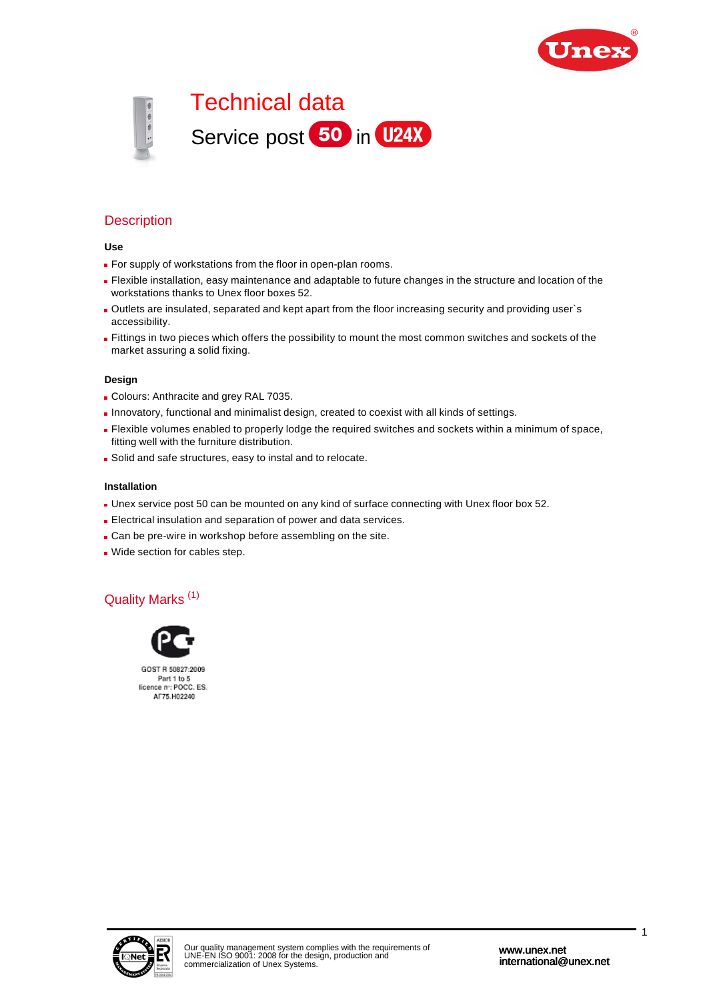



# **Description**

#### **Use**

- **For supply of workstations from the floor in open-plan rooms.**
- Flexible installation, easy maintenance and adaptable to future changes in the structure and location of the workstations thanks to Unex floor boxes 52.
- Outlets are insulated, separated and kept apart from the floor increasing security and providing user`s accessibility.
- Fittings in two pieces which offers the possibility to mount the most common switches and sockets of the market assuring a solid fixing.

#### **Design**

- Colours: Anthracite and grey RAL 7035.
- **Innovatory, functional and minimalist design, created to coexist with all kinds of settings.**
- Flexible volumes enabled to properly lodge the required switches and sockets within a minimum of space, fitting well with the furniture distribution.
- Solid and safe structures, easy to instal and to relocate.

#### **Installation**

- Unex service post 50 can be mounted on any kind of surface connecting with Unex floor box 52.
- Electrical insulation and separation of power and data services.
- Can be pre-wire in workshop before assembling on the site.
- Wide section for cables step.

## Quality Marks (1)



GOST R 50827:2009 Part 1 to 5<br>licence no: POCC. ES. AF75.H02240

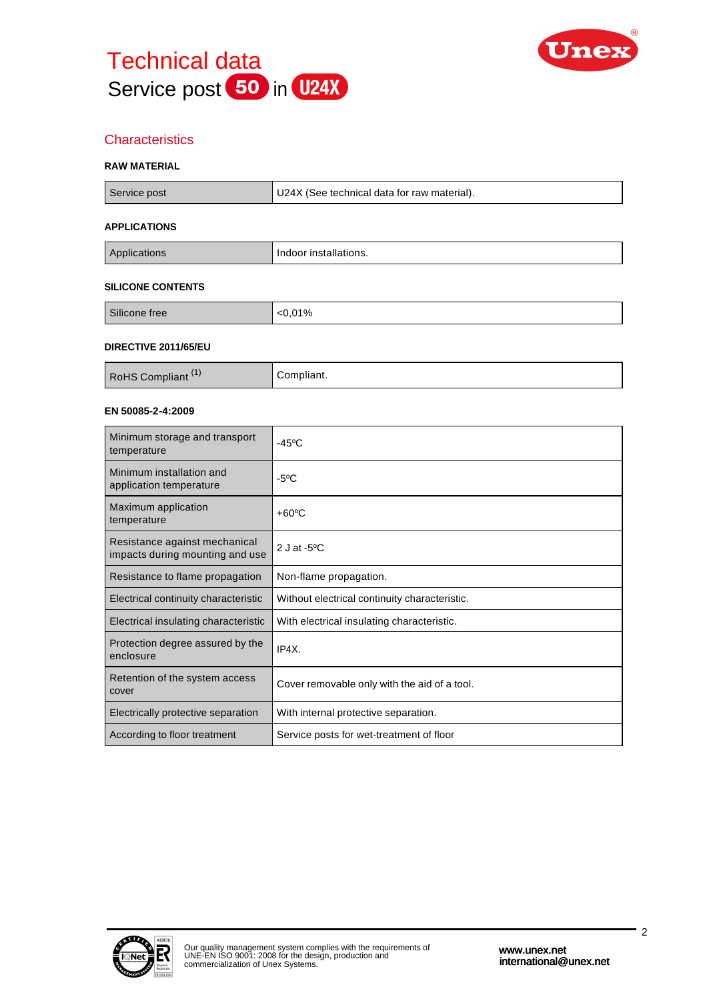



# **Characteristics**

#### **RAW MATERIAL**

| Service post             | U24X (See technical data for raw material). |  |
|--------------------------|---------------------------------------------|--|
| <b>APPLICATIONS</b>      |                                             |  |
| Applications             | Indoor installations.                       |  |
| <b>SILICONE CONTENTS</b> |                                             |  |

# Silicone free <0,01%

#### **DIRECTIVE 2011/65/EU**

| <b>RoHS Compliant</b> | ;ompliant. |
|-----------------------|------------|

#### **EN 50085-2-4:2009**

| Minimum storage and transport<br>temperature                     | -45°C                                         |
|------------------------------------------------------------------|-----------------------------------------------|
| Minimum installation and<br>application temperature              | $-5^{\circ}$ C                                |
| Maximum application<br>temperature                               | $+60^{\circ}$ C                               |
| Resistance against mechanical<br>impacts during mounting and use | 2 J at - $5^{\circ}$ C                        |
| Resistance to flame propagation                                  | Non-flame propagation.                        |
| Electrical continuity characteristic                             | Without electrical continuity characteristic. |
| Electrical insulating characteristic                             | With electrical insulating characteristic.    |
| Protection degree assured by the<br>enclosure                    | IP4X.                                         |
| Retention of the system access<br>cover                          | Cover removable only with the aid of a tool.  |
| Electrically protective separation                               | With internal protective separation.          |
| According to floor treatment                                     | Service posts for wet-treatment of floor      |

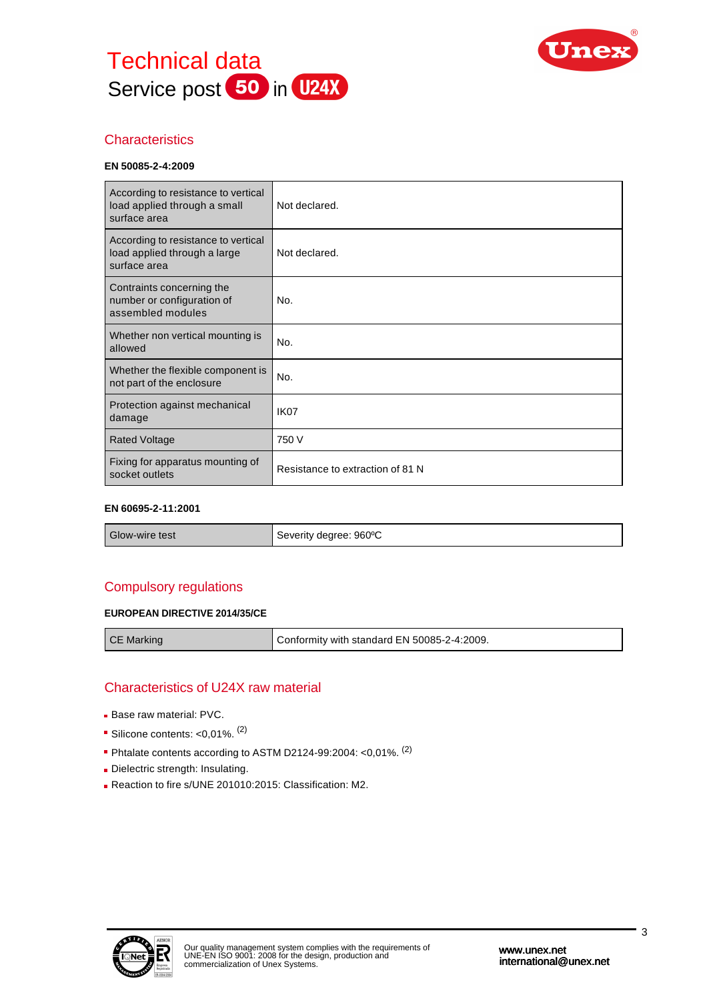



# **Characteristics**

#### **EN 50085-2-4:2009**

| According to resistance to vertical<br>load applied through a small<br>surface area | Not declared.                    |
|-------------------------------------------------------------------------------------|----------------------------------|
| According to resistance to vertical<br>load applied through a large<br>surface area | Not declared.                    |
| Contraints concerning the<br>number or configuration of<br>assembled modules        | No.                              |
| Whether non vertical mounting is<br>allowed                                         | No.                              |
| Whether the flexible component is<br>not part of the enclosure                      | No.                              |
| Protection against mechanical<br>damage                                             | IK <sub>07</sub>                 |
| <b>Rated Voltage</b>                                                                | 750 V                            |
| Fixing for apparatus mounting of<br>socket outlets                                  | Resistance to extraction of 81 N |

#### **EN 60695-2-11:2001**

| Glow-wire test | Severity degree: 960°C |
|----------------|------------------------|
|----------------|------------------------|

# Compulsory regulations

#### **EUROPEAN DIRECTIVE 2014/35/CE**

CE Marking CE Marking Conformity with standard EN 50085-2-4:2009.

## Characteristics of U24X raw material

- **Base raw material: PVC.**
- Silicone contents:  $<$ 0,01%.  $<sup>(2)</sup>$ </sup>
- Phtalate contents according to ASTM D2124-99:2004: < 0,01%. <sup>(2)</sup>
- Dielectric strength: Insulating.
- Reaction to fire s/UNE 201010:2015: Classification: M2.